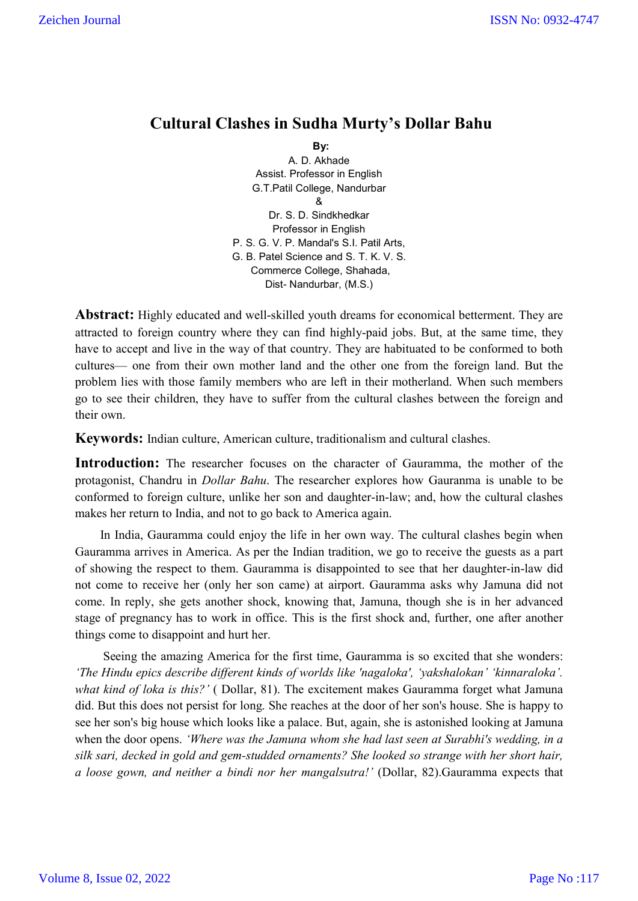## **Cultural Clashes in Sudha Murty's Dollar Bahu**

**By: By: By:** A. D. Akhade Assist. Professor in English G.T.Patil College, Nandurbar & Dr. S. D. Sindkhedkar Professor in English P. S. G. V. P. Mandal's S.I. Patil Arts, G. B. Patel Science and S. T. K. V. S. Commerce College, Shahada, Dist- Nandurbar, (M.S.)

**Abstract:** Highly educated and well-skilled youth dreams for economical betterment. They are attracted to foreign country where they can find highly-paid jobs. But, at the same time, they have to accept and live in the way of that country. They are habituated to be conformed to both cultures— one from their own mother land and the other one from the foreign land. But the problem lies with those family members who are left in their motherland. When such members go to see their children, they have to suffer from the cultural clashes between the foreign and their own.

**Keywords:** Indian culture, American culture, traditionalism and cultural clashes.

**Introduction:** The researcher focuses on the character of Gauramma, the mother of the protagonist, Chandru in *Dollar Bahu*. The researcher explores how Gauranma is unable to be conformed to foreign culture, unlike her son and daughter-in-law; and, how the cultural clashes makes her return to India, and not to go back to America again.

 In India, Gauramma could enjoy the life in her own way. The cultural clashes begin when Gauramma arrives in America. As per the Indian tradition, we go to receive the guests as a part of showing the respect to them. Gauramma is disappointed to see that her daughter-in-law did not come to receive her (only her son came) at airport. Gauramma asks why Jamuna did not come. In reply, she gets another shock, knowing that, Jamuna, though she is in her advanced stage of pregnancy has to work in office. This is the first shock and, further, one after another things come to disappoint and hurt her.

 Seeing the amazing America for the first time, Gauramma is so excited that she wonders: *'The Hindu epics describe different kinds of worlds like 'nagaloka', 'yakshalokan' 'kinnaraloka'. what kind of loka is this?'* ( Dollar, 81). The excitement makes Gauramma forget what Jamuna did. But this does not persist for long. She reaches at the door of her son's house. She is happy to see her son's big house which looks like a palace. But, again, she is astonished looking at Jamuna when the door opens. *'Where was the Jamuna whom she had last seen at Surabhi's wedding, in a silk sari, decked in gold and gem-studded ornaments? She looked so strange with her short hair, a loose gown, and neither a bindi nor her mangalsutra!'* (Dollar, 82).Gauramma expects that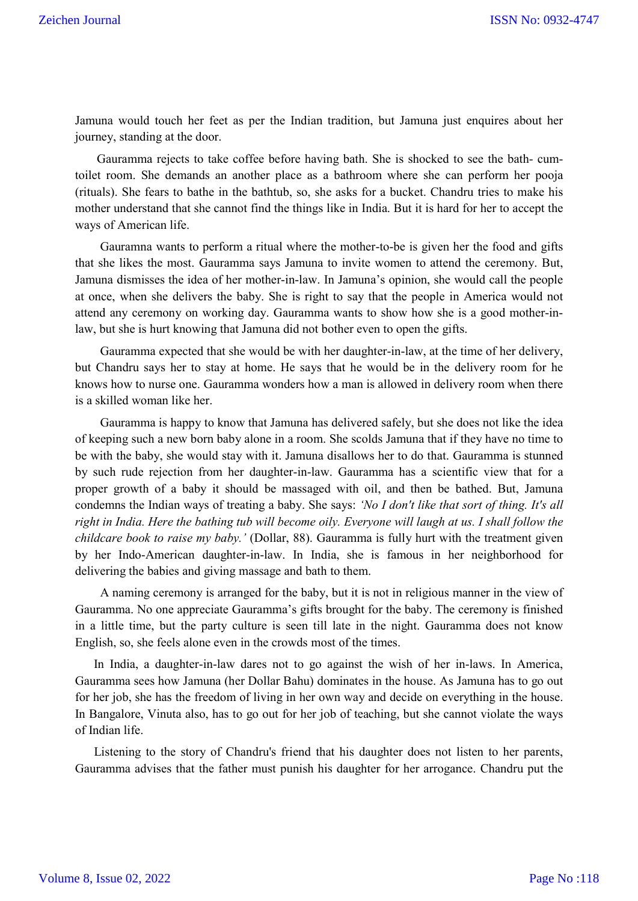Jamuna would touch her feet as per the Indian tradition, but Jamuna just enquires about her journey, standing at the door.

 Gauramma rejects to take coffee before having bath. She is shocked to see the bath- cumtoilet room. She demands an another place as a bathroom where she can perform her pooja (rituals). She fears to bathe in the bathtub, so, she asks for a bucket. Chandru tries to make his mother understand that she cannot find the things like in India. But it is hard for her to accept the ways of American life.

 Gauramna wants to perform a ritual where the mother-to-be is given her the food and gifts that she likes the most. Gauramma says Jamuna to invite women to attend the ceremony. But, Jamuna dismisses the idea of her mother-in-law. In Jamuna's opinion, she would call the people at once, when she delivers the baby. She is right to say that the people in America would not attend any ceremony on working day. Gauramma wants to show how she is a good mother-inlaw, but she is hurt knowing that Jamuna did not bother even to open the gifts.

 Gauramma expected that she would be with her daughter-in-law, at the time of her delivery, but Chandru says her to stay at home. He says that he would be in the delivery room for he knows how to nurse one. Gauramma wonders how a man is allowed in delivery room when there is a skilled woman like her.

 Gauramma is happy to know that Jamuna has delivered safely, but she does not like the idea of keeping such a new born baby alone in a room. She scolds Jamuna that if they have no time to be with the baby, she would stay with it. Jamuna disallows her to do that. Gauramma is stunned by such rude rejection from her daughter-in-law. Gauramma has a scientific view that for a proper growth of a baby it should be massaged with oil, and then be bathed. But, Jamuna condemns the Indian ways of treating a baby. She says: *'No I don't like that sort of thing. It's all right in India. Here the bathing tub will become oily. Everyone will laugh at us. I shall follow the childcare book to raise my baby.'* (Dollar, 88). Gauramma is fully hurt with the treatment given by her Indo-American daughter-in-law. In India, she is famous in her neighborhood for delivering the babies and giving massage and bath to them.

 A naming ceremony is arranged for the baby, but it is not in religious manner in the view of Gauramma. No one appreciate Gauramma's gifts brought for the baby. The ceremony is finished in a little time, but the party culture is seen till late in the night. Gauramma does not know English, so, she feels alone even in the crowds most of the times.

 In India, a daughter-in-law dares not to go against the wish of her in-laws. In America, Gauramma sees how Jamuna (her Dollar Bahu) dominates in the house. As Jamuna has to go out for her job, she has the freedom of living in her own way and decide on everything in the house. In Bangalore, Vinuta also, has to go out for her job of teaching, but she cannot violate the ways of Indian life.

 Listening to the story of Chandru's friend that his daughter does not listen to her parents, Gauramma advises that the father must punish his daughter for her arrogance. Chandru put the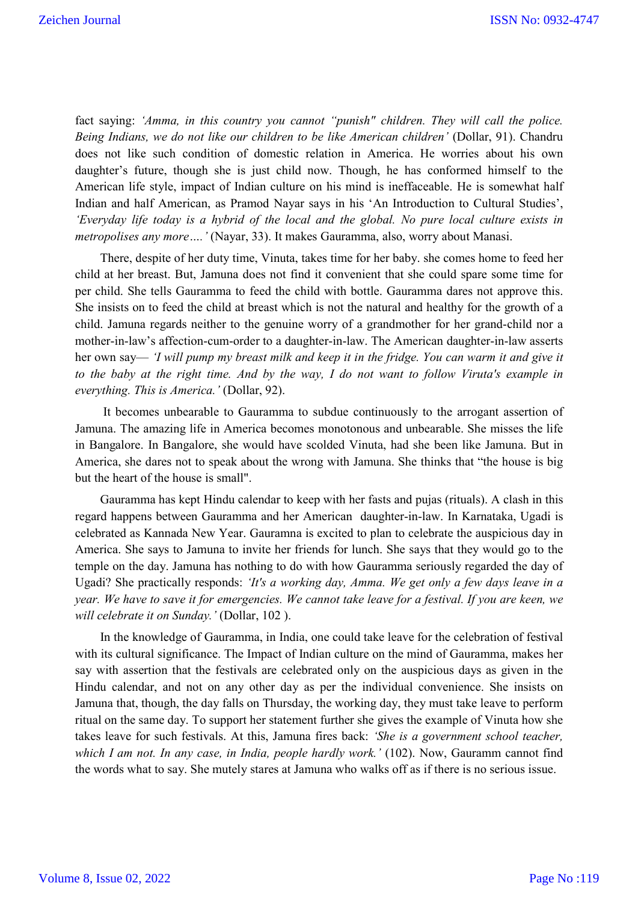fact saying: 'Amma, in this country you cannot "punish" children. They will call the police. *Being Indians, we do not like our children to be like American children'* (Dollar, 91). Chandru does not like such condition of domestic relation in America. He worries about his own daughter's future, though she is just child now. Though, he has conformed himself to the American life style, impact of Indian culture on his mind is ineffaceable. He is somewhat half Indian and half American, as Pramod Nayar says in his 'An Introduction to Cultural Studies', *'Everyday life today is a hybrid of the local and the global. No pure local culture exists in metropolises any more….'* (Nayar, 33). It makes Gauramma, also, worry about Manasi.

 There, despite of her duty time, Vinuta, takes time for her baby. she comes home to feed her child at her breast. But, Jamuna does not find it convenient that she could spare some time for per child. She tells Gauramma to feed the child with bottle. Gauramma dares not approve this. She insists on to feed the child at breast which is not the natural and healthy for the growth of a child. Jamuna regards neither to the genuine worry of a grandmother for her grand-child nor a mother-in-law's affection-cum-order to a daughter-in-law. The American daughter-in-law asserts her own say— *'I will pump my breast milk and keep it in the fridge. You can warm it and give it to the baby at the right time. And by the way, I do not want to follow Viruta's example in everything. This is America.'* (Dollar, 92).

 It becomes unbearable to Gauramma to subdue continuously to the arrogant assertion of Jamuna. The amazing life in America becomes monotonous and unbearable. She misses the life in Bangalore. In Bangalore, she would have scolded Vinuta, had she been like Jamuna. But in America, she dares not to speak about the wrong with Jamuna. She thinks that "the house is big but the heart of the house is small".

 Gauramma has kept Hindu calendar to keep with her fasts and pujas (rituals). A clash in this regard happens between Gauramma and her American daughter-in-law. In Karnataka, Ugadi is celebrated as Kannada New Year. Gauramna is excited to plan to celebrate the auspicious day in America. She says to Jamuna to invite her friends for lunch. She says that they would go to the temple on the day. Jamuna has nothing to do with how Gauramma seriously regarded the day of Ugadi? She practically responds: *'It's a working day, Amma. We get only a few days leave in a year. We have to save it for emergencies. We cannot take leave for a festival. If you are keen, we will celebrate it on Sunday.'* (Dollar, 102 ).

 In the knowledge of Gauramma, in India, one could take leave for the celebration of festival with its cultural significance. The Impact of Indian culture on the mind of Gauramma, makes her say with assertion that the festivals are celebrated only on the auspicious days as given in the Hindu calendar, and not on any other day as per the individual convenience. She insists on Jamuna that, though, the day falls on Thursday, the working day, they must take leave to perform ritual on the same day. To support her statement further she gives the example of Vinuta how she takes leave for such festivals. At this, Jamuna fires back: *'She is a government school teacher, which I am not. In any case, in India, people hardly work.'* (102). Now, Gauramm cannot find the words what to say. She mutely stares at Jamuna who walks off as if there is no serious issue.